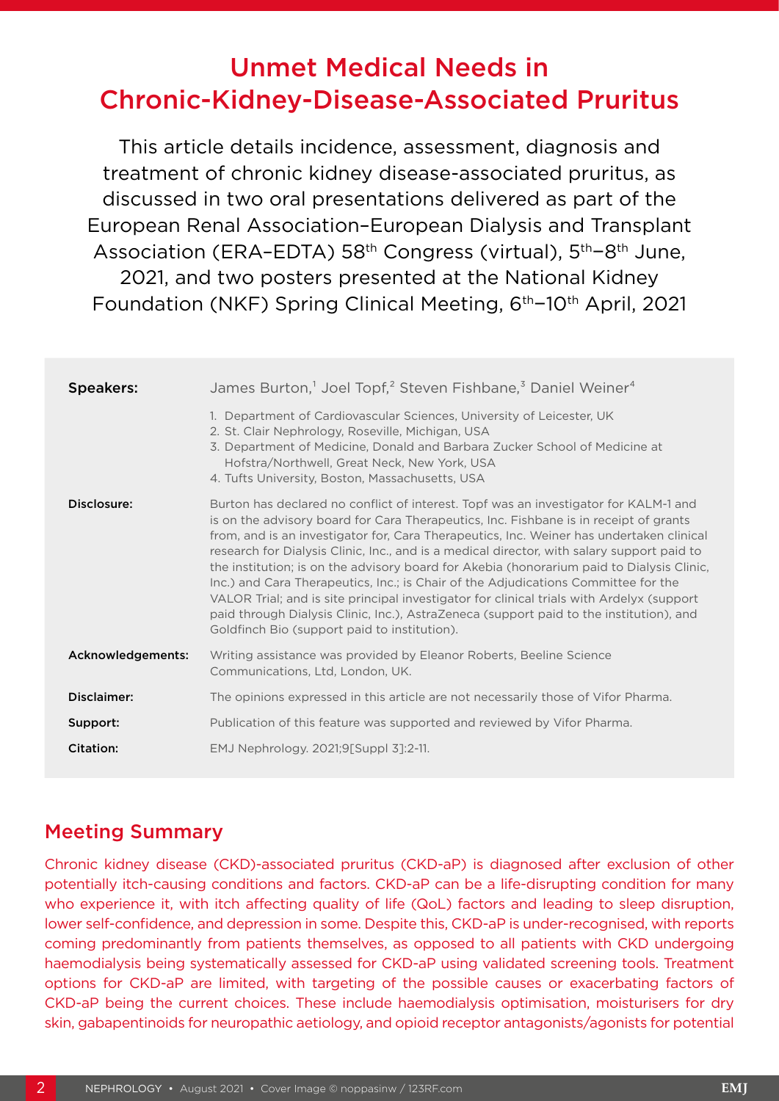# Unmet Medical Needs in Chronic-Kidney-Disease-Associated Pruritus

This article details incidence, assessment, diagnosis and treatment of chronic kidney disease-associated pruritus, as discussed in two oral presentations delivered as part of the European Renal Association–European Dialysis and Transplant Association (ERA–EDTA) 58th Congress (virtual), 5th−8th June, 2021, and two posters presented at the National Kidney Foundation (NKF) Spring Clinical Meeting, 6th−10th April, 2021

| <b>Speakers:</b>  | James Burton, <sup>1</sup> Joel Topf, <sup>2</sup> Steven Fishbane, <sup>3</sup> Daniel Weiner <sup>4</sup>                                                                                                                                                                                                                                                                                                                                                                                                                                                                                                                                                                                                                                                                                        |
|-------------------|----------------------------------------------------------------------------------------------------------------------------------------------------------------------------------------------------------------------------------------------------------------------------------------------------------------------------------------------------------------------------------------------------------------------------------------------------------------------------------------------------------------------------------------------------------------------------------------------------------------------------------------------------------------------------------------------------------------------------------------------------------------------------------------------------|
|                   | 1. Department of Cardiovascular Sciences, University of Leicester, UK<br>2. St. Clair Nephrology, Roseville, Michigan, USA<br>3. Department of Medicine, Donald and Barbara Zucker School of Medicine at<br>Hofstra/Northwell, Great Neck, New York, USA<br>4. Tufts University, Boston, Massachusetts, USA                                                                                                                                                                                                                                                                                                                                                                                                                                                                                        |
| Disclosure:       | Burton has declared no conflict of interest. Topf was an investigator for KALM-1 and<br>is on the advisory board for Cara Therapeutics, Inc. Fishbane is in receipt of grants<br>from, and is an investigator for, Cara Therapeutics, Inc. Weiner has undertaken clinical<br>research for Dialysis Clinic, Inc., and is a medical director, with salary support paid to<br>the institution; is on the advisory board for Akebia (honorarium paid to Dialysis Clinic,<br>Inc.) and Cara Therapeutics, Inc.; is Chair of the Adjudications Committee for the<br>VALOR Trial; and is site principal investigator for clinical trials with Ardelyx (support<br>paid through Dialysis Clinic, Inc.), AstraZeneca (support paid to the institution), and<br>Goldfinch Bio (support paid to institution). |
| Acknowledgements: | Writing assistance was provided by Eleanor Roberts, Beeline Science<br>Communications, Ltd, London, UK.                                                                                                                                                                                                                                                                                                                                                                                                                                                                                                                                                                                                                                                                                            |
| Disclaimer:       | The opinions expressed in this article are not necessarily those of Vifor Pharma.                                                                                                                                                                                                                                                                                                                                                                                                                                                                                                                                                                                                                                                                                                                  |
| Support:          | Publication of this feature was supported and reviewed by Vifor Pharma.                                                                                                                                                                                                                                                                                                                                                                                                                                                                                                                                                                                                                                                                                                                            |
| <b>Citation:</b>  | EMJ Nephrology. 2021;9[Suppl 3]:2-11.                                                                                                                                                                                                                                                                                                                                                                                                                                                                                                                                                                                                                                                                                                                                                              |

# Meeting Summary

Chronic kidney disease (CKD)-associated pruritus (CKD-aP) is diagnosed after exclusion of other potentially itch-causing conditions and factors. CKD-aP can be a life-disrupting condition for many who experience it, with itch affecting quality of life (QoL) factors and leading to sleep disruption, lower self-confidence, and depression in some. Despite this, CKD-aP is under-recognised, with reports coming predominantly from patients themselves, as opposed to all patients with CKD undergoing haemodialysis being systematically assessed for CKD-aP using validated screening tools. Treatment options for CKD-aP are limited, with targeting of the possible causes or exacerbating factors of CKD-aP being the current choices. These include haemodialysis optimisation, moisturisers for dry skin, gabapentinoids for neuropathic aetiology, and opioid receptor antagonists/agonists for potential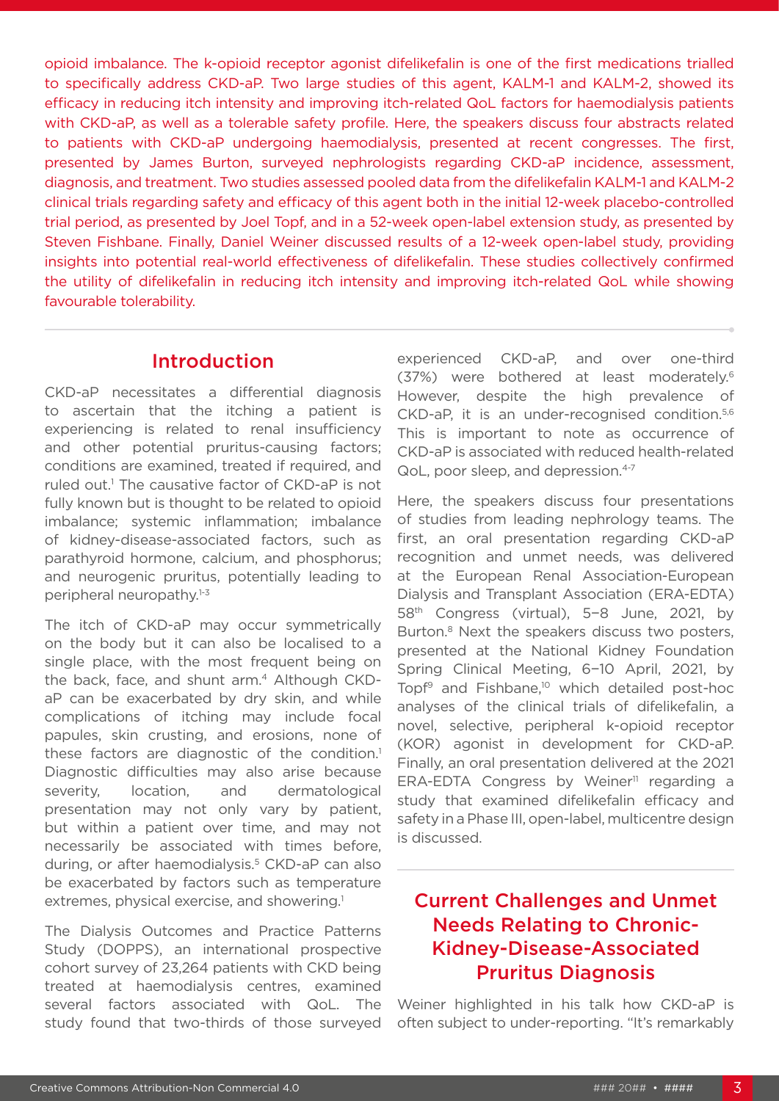opioid imbalance. The k-opioid receptor agonist difelikefalin is one of the first medications trialled to specifically address CKD-aP. Two large studies of this agent, KALM-1 and KALM-2, showed its efficacy in reducing itch intensity and improving itch-related QoL factors for haemodialysis patients with CKD-aP, as well as a tolerable safety profile. Here, the speakers discuss four abstracts related to patients with CKD-aP undergoing haemodialysis, presented at recent congresses. The first, presented by James Burton, surveyed nephrologists regarding CKD-aP incidence, assessment, diagnosis, and treatment. Two studies assessed pooled data from the difelikefalin KALM-1 and KALM-2 clinical trials regarding safety and efficacy of this agent both in the initial 12-week placebo-controlled trial period, as presented by Joel Topf, and in a 52-week open-label extension study, as presented by Steven Fishbane. Finally, Daniel Weiner discussed results of a 12-week open-label study, providing insights into potential real-world effectiveness of difelikefalin. These studies collectively confirmed the utility of difelikefalin in reducing itch intensity and improving itch-related QoL while showing favourable tolerability.

# Introduction

CKD-aP necessitates a differential diagnosis to ascertain that the itching a patient is experiencing is related to renal insufficiency and other potential pruritus-causing factors; conditions are examined, treated if required, and ruled out.<sup>1</sup> The causative factor of CKD-aP is not fully known but is thought to be related to opioid imbalance; systemic inflammation; imbalance of kidney-disease-associated factors, such as parathyroid hormone, calcium, and phosphorus; and neurogenic pruritus, potentially leading to peripheral neuropathy.1-3

The itch of CKD-aP may occur symmetrically on the body but it can also be localised to a single place, with the most frequent being on the back, face, and shunt arm.<sup>4</sup> Although CKDaP can be exacerbated by dry skin, and while complications of itching may include focal papules, skin crusting, and erosions, none of these factors are diagnostic of the condition.<sup>1</sup> Diagnostic difficulties may also arise because severity, location, and dermatological presentation may not only vary by patient, but within a patient over time, and may not necessarily be associated with times before, during, or after haemodialysis.<sup>5</sup> CKD-aP can also be exacerbated by factors such as temperature extremes, physical exercise, and showering.<sup>1</sup>

The Dialysis Outcomes and Practice Patterns Study (DOPPS), an international prospective cohort survey of 23,264 patients with CKD being treated at haemodialysis centres, examined several factors associated with QoL. The study found that two-thirds of those surveyed experienced CKD-aP, and over one-third (37%) were bothered at least moderately.6 However, despite the high prevalence of CKD-aP, it is an under-recognised condition.5,6 This is important to note as occurrence of CKD-aP is associated with reduced health-related QoL, poor sleep, and depression.4-7

Here, the speakers discuss four presentations of studies from leading nephrology teams. The first, an oral presentation regarding CKD-aP recognition and unmet needs, was delivered at the European Renal Association-European Dialysis and Transplant Association (ERA-EDTA) 58th Congress (virtual), 5−8 June, 2021, by Burton.<sup>8</sup> Next the speakers discuss two posters, presented at the National Kidney Foundation Spring Clinical Meeting, 6−10 April, 2021, by Topf<sup>9</sup> and Fishbane,<sup>10</sup> which detailed post-hoc analyses of the clinical trials of difelikefalin, a novel, selective, peripheral k-opioid receptor (KOR) agonist in development for CKD-aP. Finally, an oral presentation delivered at the 2021 ERA-EDTA Congress by Weiner<sup>11</sup> regarding a study that examined difelikefalin efficacy and safety in a Phase III, open-label, multicentre design is discussed.

# Current Challenges and Unmet Needs Relating to Chronic-Kidney-Disease-Associated Pruritus Diagnosis

Weiner highlighted in his talk how CKD-aP is often subject to under-reporting. "It's remarkably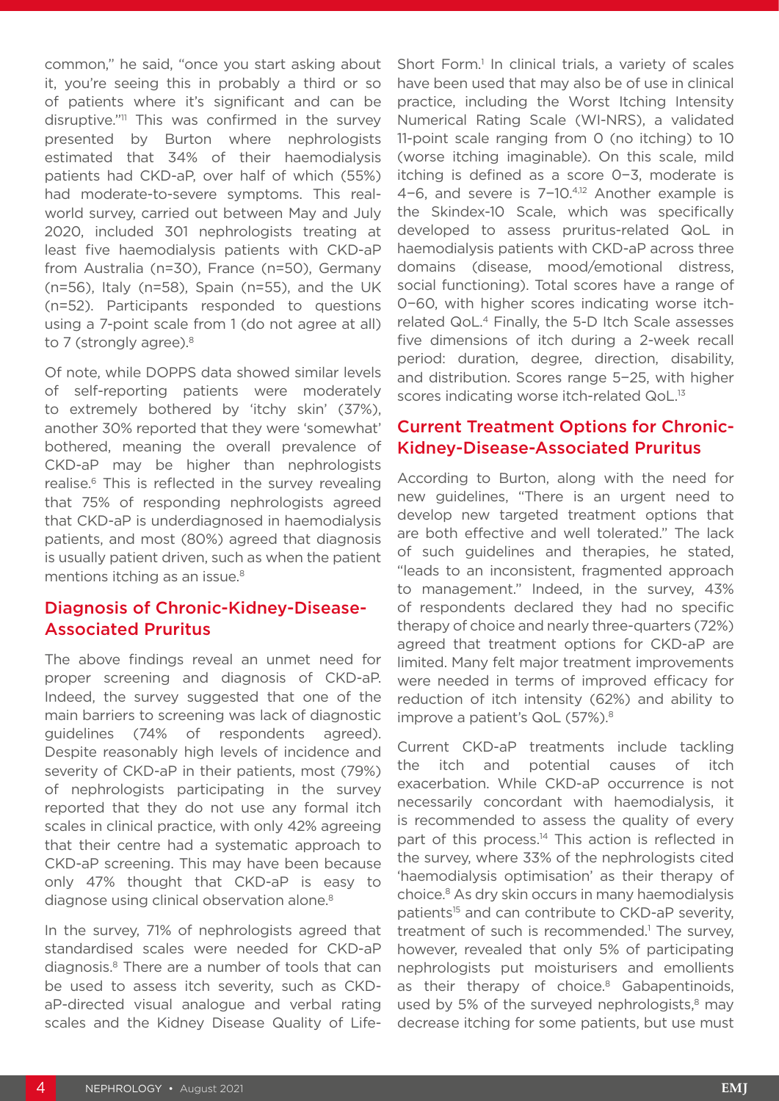common," he said, "once you start asking about it, you're seeing this in probably a third or so of patients where it's significant and can be disruptive."11 This was confirmed in the survey presented by Burton where nephrologists estimated that 34% of their haemodialysis patients had CKD-aP, over half of which (55%) had moderate-to-severe symptoms. This realworld survey, carried out between May and July 2020, included 301 nephrologists treating at least five haemodialysis patients with CKD-aP from Australia (n=30), France (n=50), Germany (n=56), Italy (n=58), Spain (n=55), and the UK (n=52). Participants responded to questions using a 7-point scale from 1 (do not agree at all) to 7 (strongly agree).<sup>8</sup>

Of note, while DOPPS data showed similar levels of self-reporting patients were moderately to extremely bothered by 'itchy skin' (37%), another 30% reported that they were 'somewhat' bothered, meaning the overall prevalence of CKD-aP may be higher than nephrologists realise.6 This is reflected in the survey revealing that 75% of responding nephrologists agreed that CKD-aP is underdiagnosed in haemodialysis patients, and most (80%) agreed that diagnosis is usually patient driven, such as when the patient mentions itching as an issue.<sup>8</sup>

### Diagnosis of Chronic-Kidney-Disease-Associated Pruritus

The above findings reveal an unmet need for proper screening and diagnosis of CKD-aP. Indeed, the survey suggested that one of the main barriers to screening was lack of diagnostic guidelines (74% of respondents agreed). Despite reasonably high levels of incidence and severity of CKD-aP in their patients, most (79%) of nephrologists participating in the survey reported that they do not use any formal itch scales in clinical practice, with only 42% agreeing that their centre had a systematic approach to CKD-aP screening. This may have been because only 47% thought that CKD-aP is easy to diagnose using clinical observation alone.<sup>8</sup>

In the survey, 71% of nephrologists agreed that standardised scales were needed for CKD-aP diagnosis.8 There are a number of tools that can be used to assess itch severity, such as CKDaP-directed visual analogue and verbal rating scales and the Kidney Disease Quality of LifeShort Form.<sup>1</sup> In clinical trials, a variety of scales have been used that may also be of use in clinical practice, including the Worst Itching Intensity Numerical Rating Scale (WI-NRS), a validated 11-point scale ranging from 0 (no itching) to 10 (worse itching imaginable). On this scale, mild itching is defined as a score 0−3, moderate is 4−6, and severe is 7−10.4,12 Another example is the Skindex-10 Scale, which was specifically developed to assess pruritus-related QoL in haemodialysis patients with CKD-aP across three domains (disease, mood/emotional distress, social functioning). Total scores have a range of 0−60, with higher scores indicating worse itchrelated QoL.4 Finally, the 5-D Itch Scale assesses five dimensions of itch during a 2-week recall period: duration, degree, direction, disability, and distribution. Scores range 5−25, with higher scores indicating worse itch-related QoL.<sup>13</sup>

### Current Treatment Options for Chronic-Kidney-Disease-Associated Pruritus

According to Burton, along with the need for new guidelines, "There is an urgent need to develop new targeted treatment options that are both effective and well tolerated." The lack of such guidelines and therapies, he stated, "leads to an inconsistent, fragmented approach to management." Indeed, in the survey, 43% of respondents declared they had no specific therapy of choice and nearly three-quarters (72%) agreed that treatment options for CKD-aP are limited. Many felt major treatment improvements were needed in terms of improved efficacy for reduction of itch intensity (62%) and ability to improve a patient's QoL (57%).<sup>8</sup>

Current CKD-aP treatments include tackling the itch and potential causes of itch exacerbation. While CKD-aP occurrence is not necessarily concordant with haemodialysis, it is recommended to assess the quality of every part of this process.<sup>14</sup> This action is reflected in the survey, where 33% of the nephrologists cited 'haemodialysis optimisation' as their therapy of choice.8 As dry skin occurs in many haemodialysis patients<sup>15</sup> and can contribute to CKD-aP severity, treatment of such is recommended.<sup>1</sup> The survey, however, revealed that only 5% of participating nephrologists put moisturisers and emollients as their therapy of choice.<sup>8</sup> Gabapentinoids, used by 5% of the surveyed nephrologists, $8 \text{ may}$ decrease itching for some patients, but use must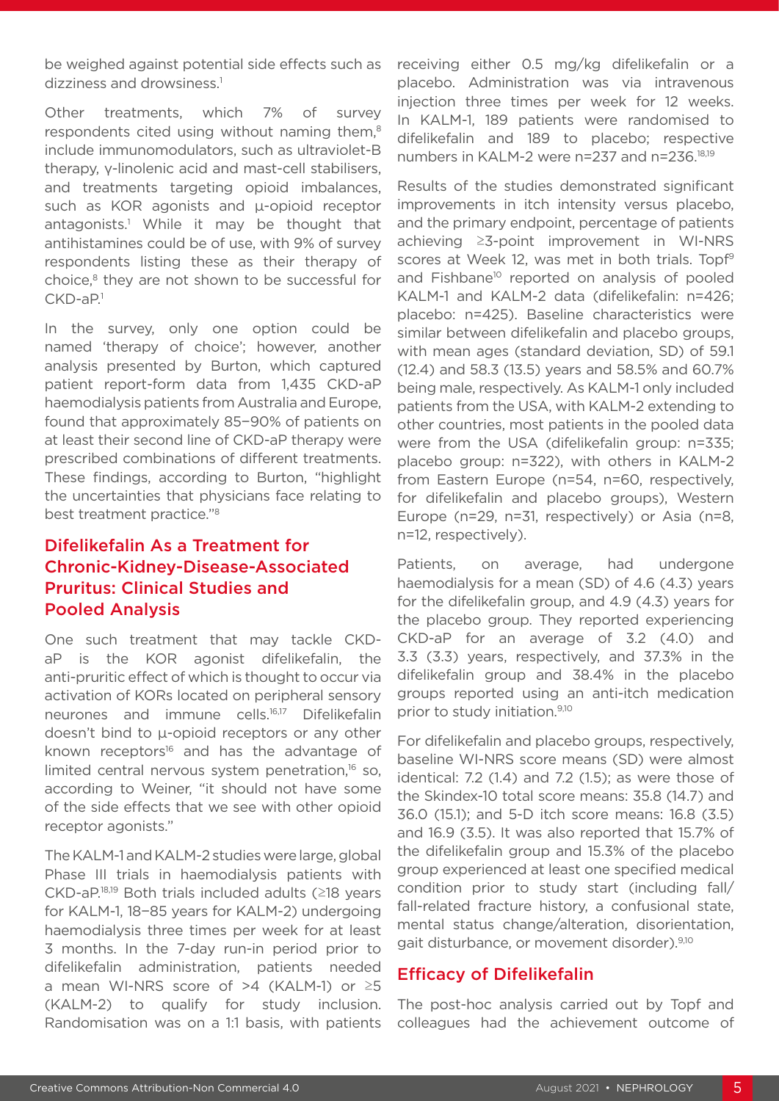be weighed against potential side effects such as dizziness and drowsiness.<sup>1</sup>

Other treatments, which 7% of survey respondents cited using without naming them.<sup>8</sup> include immunomodulators, such as ultraviolet-B therapy, γ-linolenic acid and mast-cell stabilisers, and treatments targeting opioid imbalances, such as KOR agonists and u-opioid receptor antagonists.1 While it may be thought that antihistamines could be of use, with 9% of survey respondents listing these as their therapy of choice,<sup>8</sup> they are not shown to be successful for  $CKD-aP<sup>1</sup>$ 

In the survey, only one option could be named 'therapy of choice'; however, another analysis presented by Burton, which captured patient report-form data from 1,435 CKD-aP haemodialysis patients from Australia and Europe, found that approximately 85−90% of patients on at least their second line of CKD-aP therapy were prescribed combinations of different treatments. These findings, according to Burton, "highlight the uncertainties that physicians face relating to best treatment practice."8

# Difelikefalin As a Treatment for Chronic-Kidney-Disease-Associated Pruritus: Clinical Studies and Pooled Analysis

One such treatment that may tackle CKDaP is the KOR agonist difelikefalin, the anti-pruritic effect of which is thought to occur via activation of KORs located on peripheral sensory neurones and immune cells.16,17 Difelikefalin doesn't bind to µ-opioid receptors or any other known receptors $16$  and has the advantage of limited central nervous system penetration, $16$  so, according to Weiner, "it should not have some of the side effects that we see with other opioid receptor agonists."

The KALM-1 and KALM-2 studies were large, global Phase III trials in haemodialysis patients with CKD-aP.18,19 Both trials included adults (≥18 years for KALM-1, 18−85 years for KALM-2) undergoing haemodialysis three times per week for at least 3 months. In the 7-day run-in period prior to difelikefalin administration, patients needed a mean WI-NRS score of >4 (KALM-1) or  $\geq 5$ (KALM-2) to qualify for study inclusion. Randomisation was on a 1:1 basis, with patients

receiving either 0.5 mg/kg difelikefalin or a placebo. Administration was via intravenous injection three times per week for 12 weeks. In KALM-1, 189 patients were randomised to difelikefalin and 189 to placebo; respective numbers in KALM-2 were n=237 and n=236.18,19

Results of the studies demonstrated significant improvements in itch intensity versus placebo, and the primary endpoint, percentage of patients achieving ≥3-point improvement in WI-NRS scores at Week 12, was met in both trials. Topf<sup>9</sup> and Fishbane<sup>10</sup> reported on analysis of pooled KALM-1 and KALM-2 data (difelikefalin: n=426; placebo: n=425). Baseline characteristics were similar between difelikefalin and placebo groups, with mean ages (standard deviation, SD) of 59.1 (12.4) and 58.3 (13.5) years and 58.5% and 60.7% being male, respectively. As KALM-1 only included patients from the USA, with KALM-2 extending to other countries, most patients in the pooled data were from the USA (difelikefalin group: n=335; placebo group: n=322), with others in KALM-2 from Eastern Europe (n=54, n=60, respectively, for difelikefalin and placebo groups), Western Europe (n=29, n=31, respectively) or Asia (n=8, n=12, respectively).

Patients, on average, had undergone haemodialysis for a mean (SD) of 4.6 (4.3) years for the difelikefalin group, and 4.9 (4.3) years for the placebo group. They reported experiencing CKD-aP for an average of 3.2 (4.0) and 3.3 (3.3) years, respectively, and 37.3% in the difelikefalin group and 38.4% in the placebo groups reported using an anti-itch medication prior to study initiation.9,10

For difelikefalin and placebo groups, respectively, baseline WI-NRS score means (SD) were almost identical: 7.2 (1.4) and 7.2 (1.5); as were those of the Skindex-10 total score means: 35.8 (14.7) and 36.0 (15.1); and 5-D itch score means: 16.8 (3.5) and 16.9 (3.5). It was also reported that 15.7% of the difelikefalin group and 15.3% of the placebo group experienced at least one specified medical condition prior to study start (including fall/ fall-related fracture history, a confusional state, mental status change/alteration, disorientation, gait disturbance, or movement disorder).9,10

### Efficacy of Difelikefalin

The post-hoc analysis carried out by Topf and colleagues had the achievement outcome of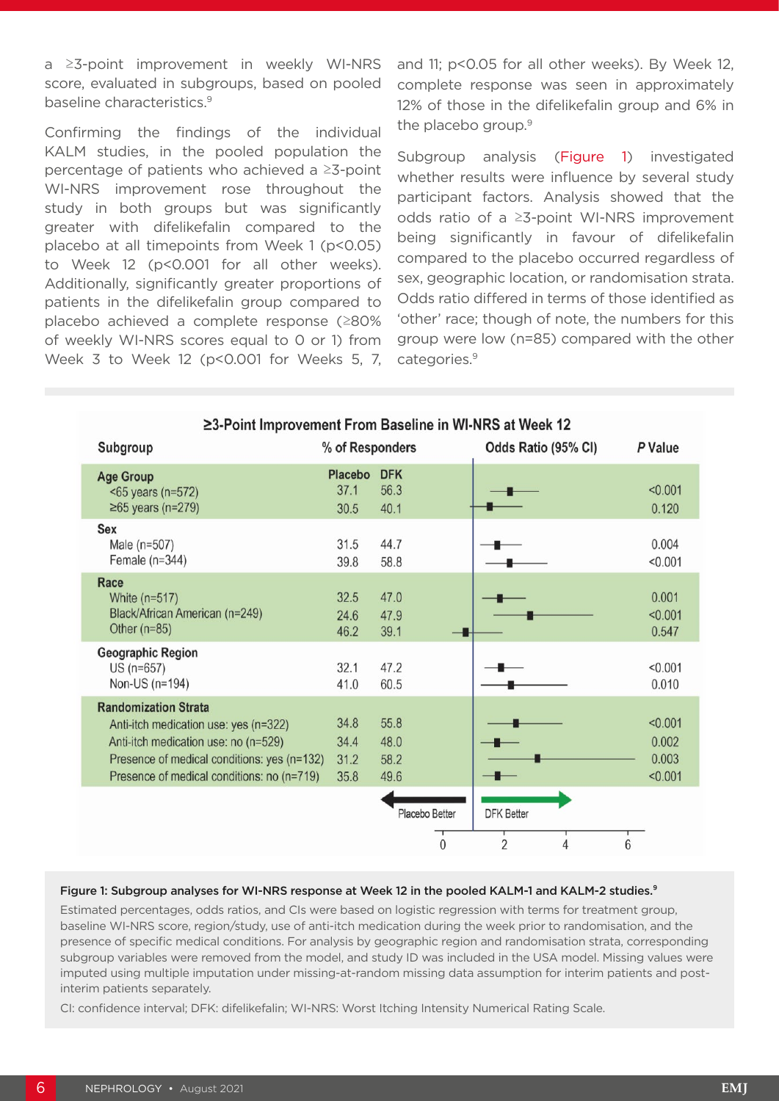a ≥3-point improvement in weekly WI-NRS score, evaluated in subgroups, based on pooled baseline characteristics.9

Confirming the findings of the individual KALM studies, in the pooled population the percentage of patients who achieved a ≥3-point WI-NRS improvement rose throughout the study in both groups but was significantly greater with difelikefalin compared to the placebo at all timepoints from Week 1 (p<0.05) to Week 12 (p<0.001 for all other weeks). Additionally, significantly greater proportions of patients in the difelikefalin group compared to placebo achieved a complete response (≥80% of weekly WI-NRS scores equal to 0 or 1) from Week 3 to Week 12 (p<0.001 for Weeks 5, 7,

and 11; p<0.05 for all other weeks). By Week 12, complete response was seen in approximately 12% of those in the difelikefalin group and 6% in the placebo group.<sup>9</sup>

Subgroup analysis (Figure 1) investigated whether results were influence by several study participant factors. Analysis showed that the odds ratio of a ≥3-point WI-NRS improvement being significantly in favour of difelikefalin compared to the placebo occurred regardless of sex, geographic location, or randomisation strata. Odds ratio differed in terms of those identified as 'other' race; though of note, the numbers for this group were low (n=85) compared with the other categories.<sup>9</sup>

| ≥3-Point Improvement From Baseline in WI-NRS at Week 12                                                                                                                                                   |                                |                                |                                          |                                      |  |
|-----------------------------------------------------------------------------------------------------------------------------------------------------------------------------------------------------------|--------------------------------|--------------------------------|------------------------------------------|--------------------------------------|--|
| Subgroup                                                                                                                                                                                                  | % of Responders                |                                | Odds Ratio (95% CI)                      | P Value                              |  |
| <b>Age Group</b><br>$55$ years (n=572)<br>$≥65$ years (n=279)                                                                                                                                             | <b>Placebo</b><br>37.1<br>30.5 | <b>DFK</b><br>56.3<br>40.1     |                                          | < 0.001<br>0.120                     |  |
| Sex<br>Male $(n=507)$<br>Female $(n=344)$                                                                                                                                                                 | 31.5<br>39.8                   | 44.7<br>58.8                   |                                          | 0.004<br>< 0.001                     |  |
| <b>Race</b><br>White $(n=517)$<br>Black/African American (n=249)<br>Other $(n=85)$                                                                                                                        | 32.5<br>24.6<br>46.2           | 47.0<br>47.9<br>39.1           |                                          | 0.001<br>< 0.001<br>0.547            |  |
| <b>Geographic Region</b><br>US (n=657)<br>Non-US (n=194)                                                                                                                                                  | 32.1<br>41.0                   | 47.2<br>60.5                   |                                          | < 0.001<br>0.010                     |  |
| <b>Randomization Strata</b><br>Anti-itch medication use: yes (n=322)<br>Anti-itch medication use: no (n=529)<br>Presence of medical conditions: yes (n=132)<br>Presence of medical conditions: no (n=719) | 34.8<br>34.4<br>31.2<br>35.8   | 55.8<br>48.0<br>58.2<br>49.6   |                                          | < 0.001<br>0.002<br>0.003<br>< 0.001 |  |
|                                                                                                                                                                                                           |                                | Placebo Better<br>$\mathbf{0}$ | <b>DFK Better</b><br>$\overline{2}$<br>4 | 6                                    |  |

#### Figure 1: Subgroup analyses for WI-NRS response at Week 12 in the pooled KALM-1 and KALM-2 studies.<sup>9</sup>

Estimated percentages, odds ratios, and CIs were based on logistic regression with terms for treatment group, baseline WI-NRS score, region/study, use of anti-itch medication during the week prior to randomisation, and the presence of specific medical conditions. For analysis by geographic region and randomisation strata, corresponding subgroup variables were removed from the model, and study ID was included in the USA model. Missing values were imputed using multiple imputation under missing-at-random missing data assumption for interim patients and postinterim patients separately.

CI: confidence interval; DFK: difelikefalin; WI-NRS: Worst Itching Intensity Numerical Rating Scale.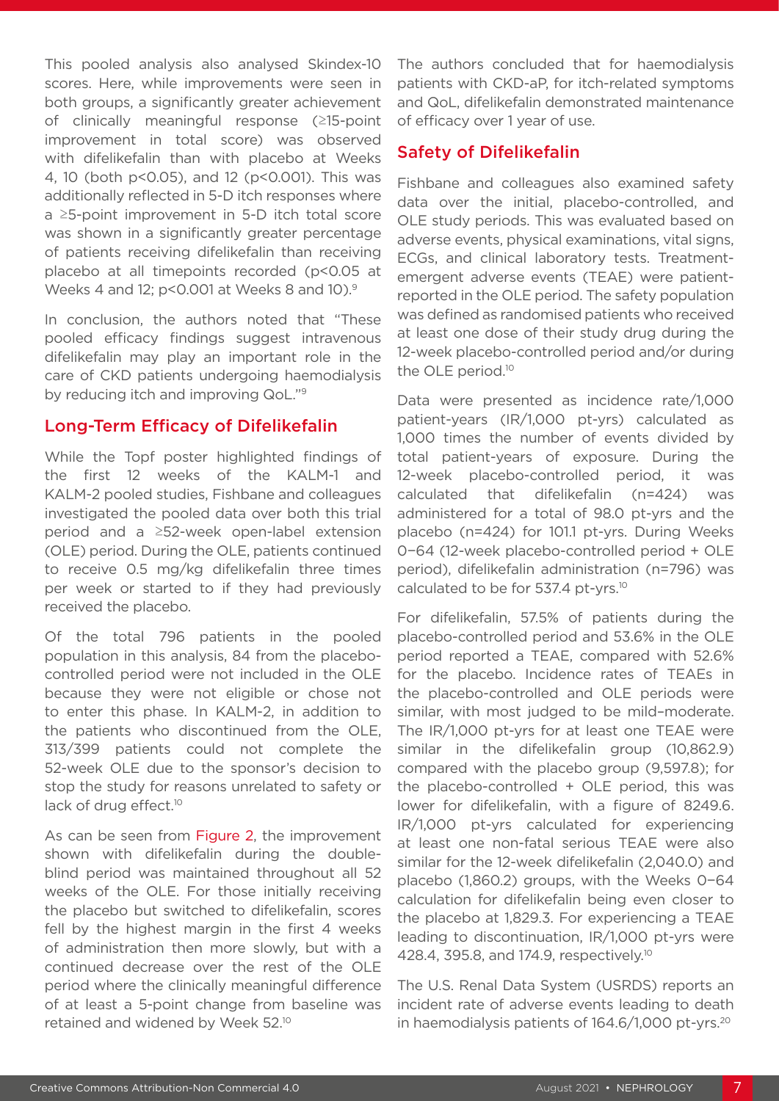This pooled analysis also analysed Skindex-10 scores. Here, while improvements were seen in both groups, a significantly greater achievement of clinically meaningful response (≥15-point improvement in total score) was observed with difelikefalin than with placebo at Weeks 4, 10 (both p<0.05), and 12 (p<0.001). This was additionally reflected in 5-D itch responses where a ≥5-point improvement in 5-D itch total score was shown in a significantly greater percentage of patients receiving difelikefalin than receiving placebo at all timepoints recorded (p<0.05 at Weeks 4 and 12; p<0.001 at Weeks 8 and 10).9

In conclusion, the authors noted that "These pooled efficacy findings suggest intravenous difelikefalin may play an important role in the care of CKD patients undergoing haemodialysis by reducing itch and improving QoL."<sup>9</sup>

### Long-Term Efficacy of Difelikefalin

While the Topf poster highlighted findings of the first 12 weeks of the KALM-1 and KALM-2 pooled studies, Fishbane and colleagues investigated the pooled data over both this trial period and a ≥52-week open-label extension (OLE) period. During the OLE, patients continued to receive 0.5 mg/kg difelikefalin three times per week or started to if they had previously received the placebo.

Of the total 796 patients in the pooled population in this analysis, 84 from the placebocontrolled period were not included in the OLE because they were not eligible or chose not to enter this phase. In KALM-2, in addition to the patients who discontinued from the OLE, 313/399 patients could not complete the 52-week OLE due to the sponsor's decision to stop the study for reasons unrelated to safety or lack of drug effect.<sup>10</sup>

As can be seen from Figure 2, the improvement shown with difelikefalin during the doubleblind period was maintained throughout all 52 weeks of the OLE. For those initially receiving the placebo but switched to difelikefalin, scores fell by the highest margin in the first 4 weeks of administration then more slowly, but with a continued decrease over the rest of the OLE period where the clinically meaningful difference of at least a 5-point change from baseline was retained and widened by Week 52.10

The authors concluded that for haemodialysis patients with CKD-aP, for itch-related symptoms and QoL, difelikefalin demonstrated maintenance of efficacy over 1 year of use.

### Safety of Difelikefalin

Fishbane and colleagues also examined safety data over the initial, placebo-controlled, and OLE study periods. This was evaluated based on adverse events, physical examinations, vital signs, ECGs, and clinical laboratory tests. Treatmentemergent adverse events (TEAE) were patientreported in the OLE period. The safety population was defined as randomised patients who received at least one dose of their study drug during the 12-week placebo-controlled period and/or during the OLE period.<sup>10</sup>

Data were presented as incidence rate/1,000 patient-years (IR/1,000 pt-yrs) calculated as 1,000 times the number of events divided by total patient-years of exposure. During the 12-week placebo-controlled period, it was calculated that difelikefalin (n=424) was administered for a total of 98.0 pt-yrs and the placebo (n=424) for 101.1 pt-yrs. During Weeks 0−64 (12-week placebo-controlled period + OLE period), difelikefalin administration (n=796) was calculated to be for 537.4 pt-yrs.10

For difelikefalin, 57.5% of patients during the placebo-controlled period and 53.6% in the OLE period reported a TEAE, compared with 52.6% for the placebo. Incidence rates of TEAEs in the placebo-controlled and OLE periods were similar, with most judged to be mild–moderate. The IR/1,000 pt-yrs for at least one TEAE were similar in the difelikefalin group (10,862.9) compared with the placebo group (9,597.8); for the placebo-controlled + OLE period, this was lower for difelikefalin, with a figure of 8249.6. IR/1,000 pt-yrs calculated for experiencing at least one non-fatal serious TEAE were also similar for the 12-week difelikefalin (2,040.0) and placebo (1,860.2) groups, with the Weeks 0−64 calculation for difelikefalin being even closer to the placebo at 1,829.3. For experiencing a TEAE leading to discontinuation, IR/1,000 pt-yrs were 428.4, 395.8, and 174.9, respectively.10

The U.S. Renal Data System (USRDS) reports an incident rate of adverse events leading to death in haemodialysis patients of 164.6/1,000 pt-yrs.<sup>20</sup>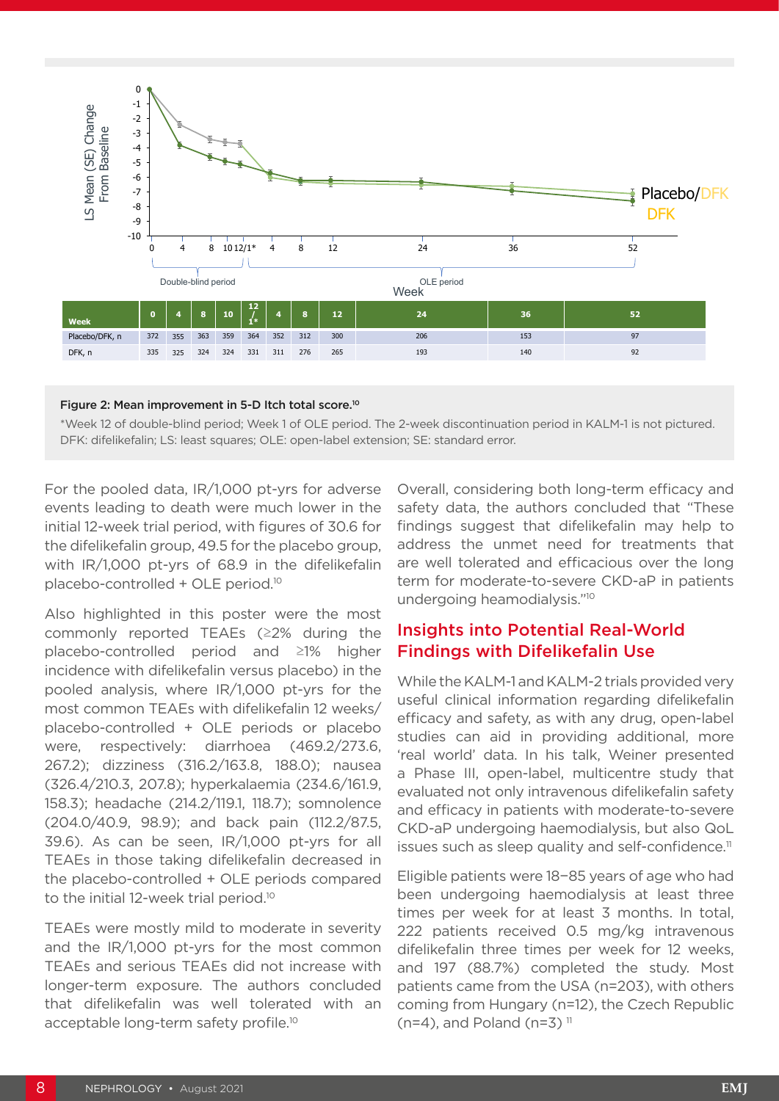

#### Figure 2: Mean improvement in 5-D Itch total score.10

\*Week 12 of double-blind period; Week 1 of OLE period. The 2-week discontinuation period in KALM-1 is not pictured. DFK: difelikefalin; LS: least squares; OLE: open-label extension; SE: standard error.

For the pooled data, IR/1,000 pt-yrs for adverse events leading to death were much lower in the initial 12-week trial period, with figures of 30.6 for the difelikefalin group, 49.5 for the placebo group, with IR/1,000 pt-yrs of 68.9 in the difelikefalin placebo-controlled + OLE period.10

Also highlighted in this poster were the most commonly reported TEAEs (≥2% during the placebo-controlled period and ≥1% higher incidence with difelikefalin versus placebo) in the pooled analysis, where IR/1,000 pt-yrs for the most common TEAEs with difelikefalin 12 weeks/ placebo-controlled + OLE periods or placebo were, respectively: diarrhoea (469.2/273.6, 267.2); dizziness (316.2/163.8, 188.0); nausea (326.4/210.3, 207.8); hyperkalaemia (234.6/161.9, 158.3); headache (214.2/119.1, 118.7); somnolence (204.0/40.9, 98.9); and back pain (112.2/87.5, 39.6). As can be seen, IR/1,000 pt-yrs for all TEAEs in those taking difelikefalin decreased in the placebo-controlled + OLE periods compared to the initial 12-week trial period.<sup>10</sup>

TEAEs were mostly mild to moderate in severity and the IR/1,000 pt-yrs for the most common TEAEs and serious TEAEs did not increase with longer-term exposure. The authors concluded that difelikefalin was well tolerated with an acceptable long-term safety profile.10

Overall, considering both long-term efficacy and safety data, the authors concluded that "These findings suggest that difelikefalin may help to address the unmet need for treatments that are well tolerated and efficacious over the long term for moderate-to-severe CKD-aP in patients undergoing heamodialysis."10

### Insights into Potential Real-World Findings with Difelikefalin Use

While the KALM-1 and KALM-2 trials provided very useful clinical information regarding difelikefalin efficacy and safety, as with any drug, open-label studies can aid in providing additional, more 'real world' data. In his talk, Weiner presented a Phase III, open-label, multicentre study that evaluated not only intravenous difelikefalin safety and efficacy in patients with moderate-to-severe CKD-aP undergoing haemodialysis, but also QoL issues such as sleep quality and self-confidence.<sup>11</sup>

Eligible patients were 18−85 years of age who had been undergoing haemodialysis at least three times per week for at least 3 months. In total, 222 patients received 0.5 mg/kg intravenous difelikefalin three times per week for 12 weeks, and 197 (88.7%) completed the study. Most patients came from the USA (n=203), with others coming from Hungary (n=12), the Czech Republic (n=4), and Poland (n=3) $<sup>11</sup>$ </sup>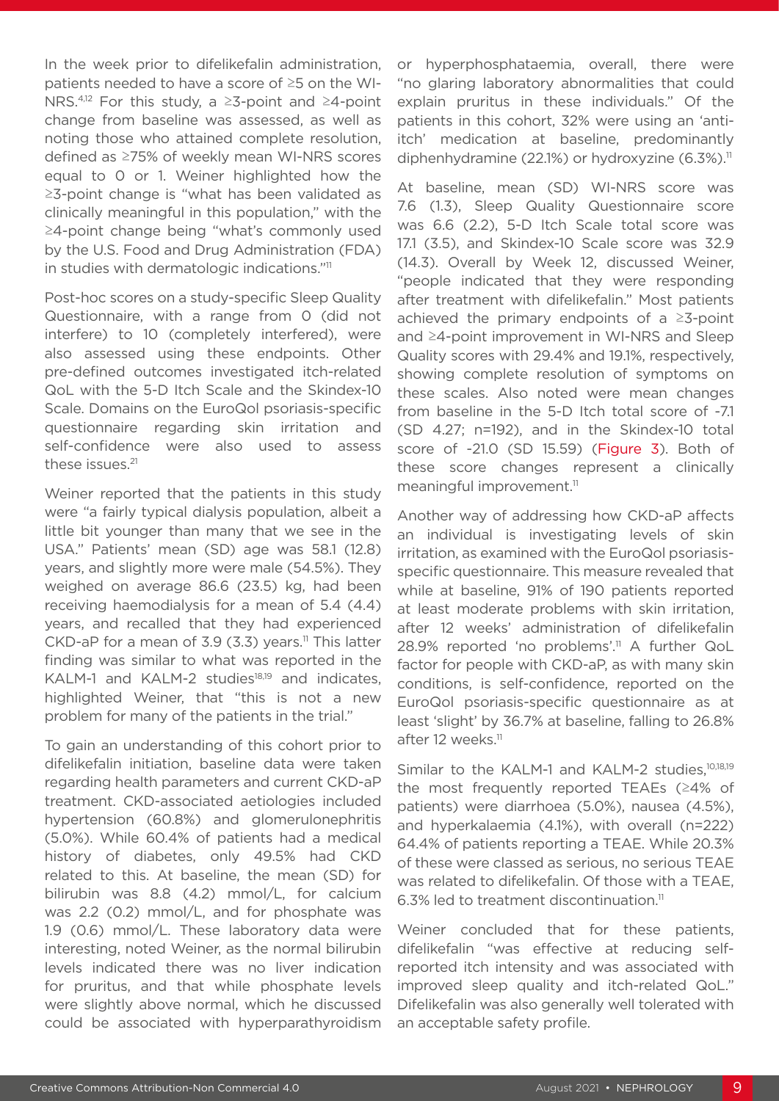In the week prior to difelikefalin administration, patients needed to have a score of ≥5 on the WI-NRS.<sup>4,12</sup> For this study, a ≥3-point and ≥4-point change from baseline was assessed, as well as noting those who attained complete resolution, defined as ≥75% of weekly mean WI-NRS scores equal to 0 or 1. Weiner highlighted how the ≥3-point change is "what has been validated as clinically meaningful in this population," with the ≥4-point change being "what's commonly used by the U.S. Food and Drug Administration (FDA) in studies with dermatologic indications."11

Post-hoc scores on a study-specific Sleep Quality Questionnaire, with a range from 0 (did not interfere) to 10 (completely interfered), were also assessed using these endpoints. Other pre-defined outcomes investigated itch-related QoL with the 5-D Itch Scale and the Skindex-10 Scale. Domains on the EuroQol psoriasis-specific questionnaire regarding skin irritation and self-confidence were also used to assess these issues.<sup>21</sup>

Weiner reported that the patients in this study were "a fairly typical dialysis population, albeit a little bit younger than many that we see in the USA." Patients' mean (SD) age was 58.1 (12.8) years, and slightly more were male (54.5%). They weighed on average 86.6 (23.5) kg, had been receiving haemodialysis for a mean of 5.4 (4.4) years, and recalled that they had experienced CKD-aP for a mean of 3.9 (3.3) years.<sup>11</sup> This latter finding was similar to what was reported in the KALM-1 and KALM-2 studies<sup>18,19</sup> and indicates, highlighted Weiner, that "this is not a new problem for many of the patients in the trial."

To gain an understanding of this cohort prior to difelikefalin initiation, baseline data were taken regarding health parameters and current CKD-aP treatment. CKD-associated aetiologies included hypertension (60.8%) and glomerulonephritis (5.0%). While 60.4% of patients had a medical history of diabetes, only 49.5% had CKD related to this. At baseline, the mean (SD) for bilirubin was 8.8 (4.2) mmol/L, for calcium was 2.2 (0.2) mmol/L, and for phosphate was 1.9 (0.6) mmol/L. These laboratory data were interesting, noted Weiner, as the normal bilirubin levels indicated there was no liver indication for pruritus, and that while phosphate levels were slightly above normal, which he discussed could be associated with hyperparathyroidism

or hyperphosphataemia, overall, there were "no glaring laboratory abnormalities that could explain pruritus in these individuals." Of the patients in this cohort, 32% were using an 'antiitch' medication at baseline, predominantly diphenhydramine (22.1%) or hydroxyzine (6.3%).<sup>11</sup>

At baseline, mean (SD) WI-NRS score was 7.6 (1.3), Sleep Quality Questionnaire score was 6.6 (2.2), 5-D Itch Scale total score was 17.1 (3.5), and Skindex-10 Scale score was 32.9 (14.3). Overall by Week 12, discussed Weiner, "people indicated that they were responding after treatment with difelikefalin." Most patients achieved the primary endpoints of a ≥3-point and ≥4-point improvement in WI-NRS and Sleep Quality scores with 29.4% and 19.1%, respectively, showing complete resolution of symptoms on these scales. Also noted were mean changes from baseline in the 5-D Itch total score of -7.1 (SD 4.27; n=192), and in the Skindex-10 total score of -21.0 (SD 15.59) (Figure 3). Both of these score changes represent a clinically meaningful improvement.<sup>11</sup>

Another way of addressing how CKD-aP affects an individual is investigating levels of skin irritation, as examined with the EuroQol psoriasisspecific questionnaire. This measure revealed that while at baseline, 91% of 190 patients reported at least moderate problems with skin irritation, after 12 weeks' administration of difelikefalin 28.9% reported 'no problems'.<sup>11</sup> A further QoL factor for people with CKD-aP, as with many skin conditions, is self-confidence, reported on the EuroQol psoriasis-specific questionnaire as at least 'slight' by 36.7% at baseline, falling to 26.8% after 12 weeks.<sup>11</sup>

Similar to the KALM-1 and KALM-2 studies,<sup>10,18,19</sup> the most frequently reported TEAEs (≥4% of patients) were diarrhoea (5.0%), nausea (4.5%), and hyperkalaemia (4.1%), with overall (n=222) 64.4% of patients reporting a TEAE. While 20.3% of these were classed as serious, no serious TEAE was related to difelikefalin. Of those with a TEAE,  $6.3\%$  led to treatment discontinuation.<sup>11</sup>

Weiner concluded that for these patients, difelikefalin "was effective at reducing selfreported itch intensity and was associated with improved sleep quality and itch-related QoL." Difelikefalin was also generally well tolerated with an acceptable safety profile.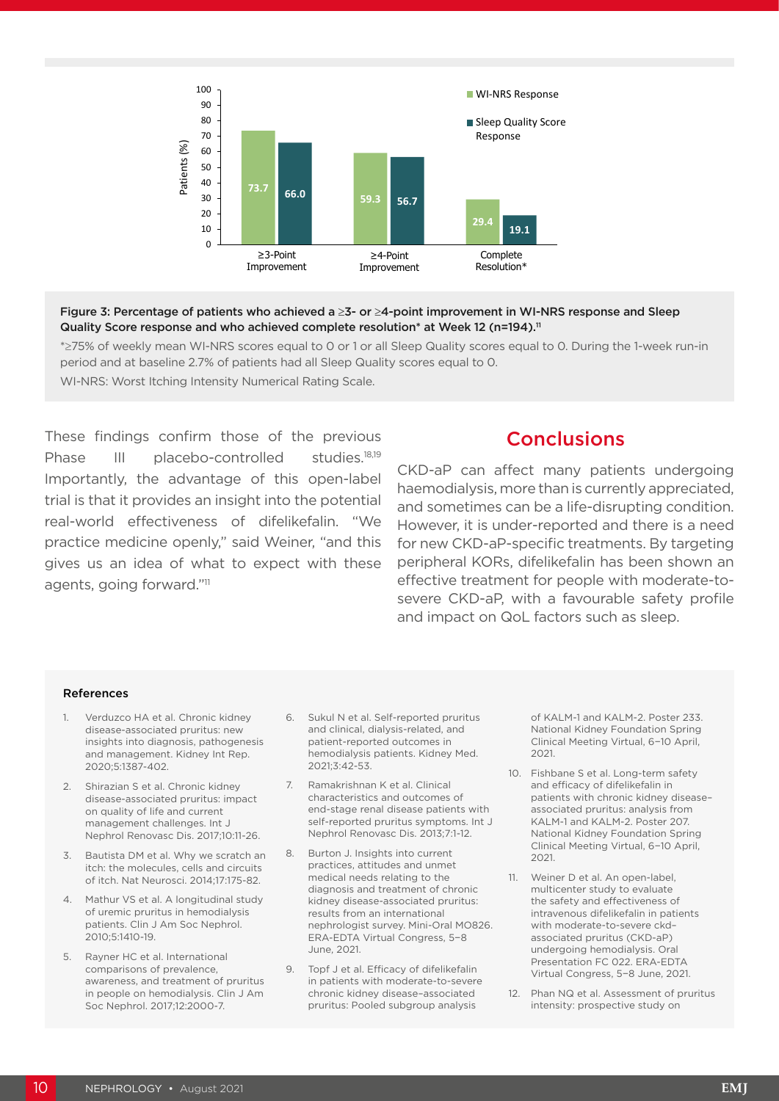

#### Figure 3: Percentage of patients who achieved a ≥3- or ≥4-point improvement in WI-NRS response and Sleep Quality Score response and who achieved complete resolution\* at Week 12 (n=194).<sup>11</sup>

\*≥75% of weekly mean WI-NRS scores equal to 0 or 1 or all Sleep Quality scores equal to 0. During the 1-week run-in period and at baseline 2.7% of patients had all Sleep Quality scores equal to 0. WI-NRS: Worst Itching Intensity Numerical Rating Scale.

These findings confirm those of the previous Phase III placebo-controlled studies.<sup>18,19</sup> Importantly, the advantage of this open-label trial is that it provides an insight into the potential real-world effectiveness of difelikefalin. "We practice medicine openly," said Weiner, "and this gives us an idea of what to expect with these agents, going forward."11

### **Conclusions**

CKD-aP can affect many patients undergoing haemodialysis, more than is currently appreciated, and sometimes can be a life-disrupting condition. However, it is under-reported and there is a need for new CKD-aP-specific treatments. By targeting peripheral KORs, difelikefalin has been shown an effective treatment for people with moderate-tosevere CKD-aP, with a favourable safety profile and impact on QoL factors such as sleep.

#### References

- Verduzco HA et al. Chronic kidney disease-associated pruritus: new insights into diagnosis, pathogenesis and management. Kidney Int Rep. 2020;5:1387-402.
- 2. Shirazian S et al. Chronic kidney disease-associated pruritus: impact on quality of life and current management challenges. Int J Nephrol Renovasc Dis. 2017;10:11-26.
- 3. Bautista DM et al. Why we scratch an itch: the molecules, cells and circuits of itch. Nat Neurosci. 2014;17:175-82.
- 4. Mathur VS et al. A longitudinal study of uremic pruritus in hemodialysis patients. Clin J Am Soc Nephrol. 2010;5:1410-19.
- 5. Rayner HC et al. International comparisons of prevalence, awareness, and treatment of pruritus in people on hemodialysis. Clin J Am Soc Nephrol. 2017;12:2000-7.
- 6. Sukul N et al. Self-reported pruritus and clinical, dialysis-related, and patient-reported outcomes in hemodialysis patients. Kidney Med. 2021;3:42-53.
- 7. Ramakrishnan K et al. Clinical characteristics and outcomes of end-stage renal disease patients with self-reported pruritus symptoms. Int J Nephrol Renovasc Dis. 2013;7:1-12.
- 8. Burton J. Insights into current practices, attitudes and unmet medical needs relating to the diagnosis and treatment of chronic kidney disease-associated pruritus: results from an international nephrologist survey. Mini-Oral MO826. ERA-EDTA Virtual Congress, 5−8 June, 2021.
- 9. Topf J et al. Efficacy of difelikefalin in patients with moderate-to-severe chronic kidney disease–associated pruritus: Pooled subgroup analysis

of KALM-1 and KALM-2. Poster 233. National Kidney Foundation Spring Clinical Meeting Virtual, 6−10 April, 2021.

- 10. Fishbane S et al. Long-term safety and efficacy of difelikefalin in patients with chronic kidney disease– associated pruritus: analysis from KALM-1 and KALM-2. Poster 207. National Kidney Foundation Spring Clinical Meeting Virtual, 6−10 April, 2021.
- 11. Weiner D et al. An open-label, multicenter study to evaluate the safety and effectiveness of intravenous difelikefalin in patients with moderate-to-severe ckd– associated pruritus (CKD-aP) undergoing hemodialysis. Oral Presentation FC 022. ERA-EDTA Virtual Congress, 5−8 June, 2021.
- 12. Phan NQ et al. Assessment of pruritus intensity: prospective study on